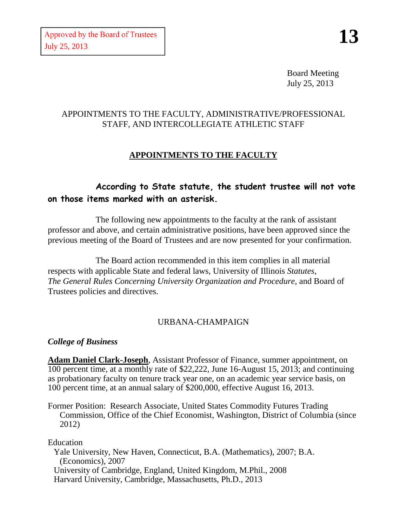Board Meeting July 25, 2013

## APPOINTMENTS TO THE FACULTY, ADMINISTRATIVE/PROFESSIONAL STAFF, AND INTERCOLLEGIATE ATHLETIC STAFF

# **APPOINTMENTS TO THE FACULTY**

# **According to State statute, the student trustee will not vote on those items marked with an asterisk.**

The following new appointments to the faculty at the rank of assistant professor and above, and certain administrative positions, have been approved since the previous meeting of the Board of Trustees and are now presented for your confirmation.

The Board action recommended in this item complies in all material respects with applicable State and federal laws, University of Illinois *Statutes*, *The General Rules Concerning University Organization and Procedure*, and Board of Trustees policies and directives.

## URBANA-CHAMPAIGN

## *College of Business*

**Adam Daniel Clark-Joseph**, Assistant Professor of Finance, summer appointment, on 100 percent time, at a monthly rate of \$22,222, June 16-August 15, 2013; and continuing as probationary faculty on tenure track year one, on an academic year service basis, on 100 percent time, at an annual salary of \$200,000, effective August 16, 2013.

Former Position: Research Associate, United States Commodity Futures Trading Commission, Office of the Chief Economist, Washington, District of Columbia (since 2012)

Education

Yale University, New Haven, Connecticut, B.A. (Mathematics), 2007; B.A. (Economics), 2007 University of Cambridge, England, United Kingdom, M.Phil., 2008 Harvard University, Cambridge, Massachusetts, Ph.D., 2013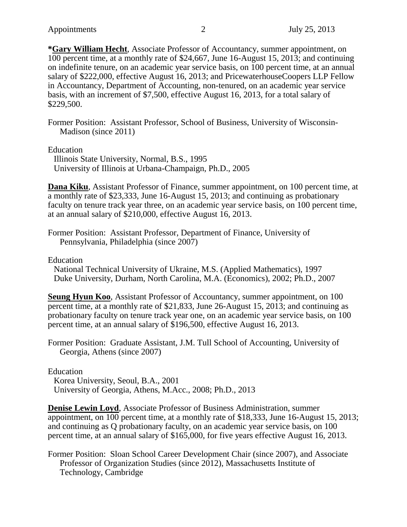**\*Gary William Hecht**, Associate Professor of Accountancy, summer appointment, on 100 percent time, at a monthly rate of \$24,667, June 16-August 15, 2013; and continuing on indefinite tenure, on an academic year service basis, on 100 percent time, at an annual salary of \$222,000, effective August 16, 2013; and PricewaterhouseCoopers LLP Fellow in Accountancy, Department of Accounting, non-tenured, on an academic year service basis, with an increment of \$7,500, effective August 16, 2013, for a total salary of \$229,500.

Former Position: Assistant Professor, School of Business, University of Wisconsin-Madison (since 2011)

Education

Illinois State University, Normal, B.S., 1995 University of Illinois at Urbana-Champaign, Ph.D., 2005

**Dana Kiku**, Assistant Professor of Finance, summer appointment, on 100 percent time, at a monthly rate of \$23,333, June 16-August 15, 2013; and continuing as probationary faculty on tenure track year three, on an academic year service basis, on 100 percent time, at an annual salary of \$210,000, effective August 16, 2013.

Former Position: Assistant Professor, Department of Finance, University of Pennsylvania, Philadelphia (since 2007)

Education

National Technical University of Ukraine, M.S. (Applied Mathematics), 1997 Duke University, Durham, North Carolina, M.A. (Economics), 2002; Ph.D., 2007

**Seung Hyun Koo, Assistant Professor of Accountancy, summer appointment, on 100** percent time, at a monthly rate of \$21,833, June 26-August 15, 2013; and continuing as probationary faculty on tenure track year one, on an academic year service basis, on 100 percent time, at an annual salary of \$196,500, effective August 16, 2013.

Former Position: Graduate Assistant, J.M. Tull School of Accounting, University of Georgia, Athens (since 2007)

Education Korea University, Seoul, B.A., 2001 University of Georgia, Athens, M.Acc., 2008; Ph.D., 2013

**Denise Lewin Loyd**, Associate Professor of Business Administration, summer appointment, on 100 percent time, at a monthly rate of \$18,333, June 16-August 15, 2013; and continuing as Q probationary faculty, on an academic year service basis, on 100 percent time, at an annual salary of \$165,000, for five years effective August 16, 2013.

Former Position: Sloan School Career Development Chair (since 2007), and Associate Professor of Organization Studies (since 2012), Massachusetts Institute of Technology, Cambridge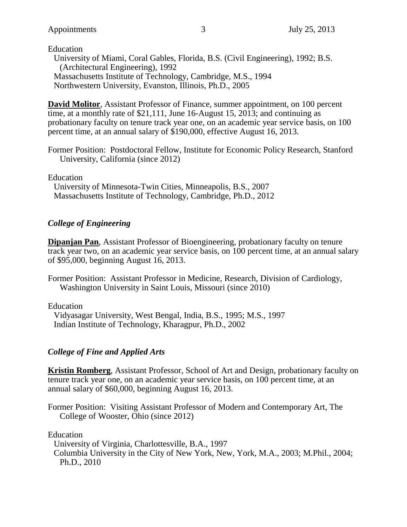Education University of Miami, Coral Gables, Florida, B.S. (Civil Engineering), 1992; B.S. (Architectural Engineering), 1992 Massachusetts Institute of Technology, Cambridge, M.S., 1994 Northwestern University, Evanston, Illinois, Ph.D., 2005

**David Molitor**, Assistant Professor of Finance, summer appointment, on 100 percent time, at a monthly rate of \$21,111, June 16-August 15, 2013; and continuing as probationary faculty on tenure track year one, on an academic year service basis, on 100 percent time, at an annual salary of \$190,000, effective August 16, 2013.

Former Position: Postdoctoral Fellow, Institute for Economic Policy Research, Stanford University, California (since 2012)

Education

University of Minnesota-Twin Cities, Minneapolis, B.S., 2007 Massachusetts Institute of Technology, Cambridge, Ph.D., 2012

### *College of Engineering*

**Dipanjan Pan**, Assistant Professor of Bioengineering, probationary faculty on tenure track year two, on an academic year service basis, on 100 percent time, at an annual salary of \$95,000, beginning August 16, 2013.

Former Position: Assistant Professor in Medicine, Research, Division of Cardiology, Washington University in Saint Louis, Missouri (since 2010)

Education

Vidyasagar University, West Bengal, India, B.S., 1995; M.S., 1997 Indian Institute of Technology, Kharagpur, Ph.D., 2002

### *College of Fine and Applied Arts*

**Kristin Romberg**, Assistant Professor, School of Art and Design, probationary faculty on tenure track year one, on an academic year service basis, on 100 percent time, at an annual salary of \$60,000, beginning August 16, 2013.

Former Position: Visiting Assistant Professor of Modern and Contemporary Art, The College of Wooster, Ohio (since 2012)

Education

University of Virginia, Charlottesville, B.A., 1997

Columbia University in the City of New York, New, York, M.A., 2003; M.Phil., 2004; Ph.D., 2010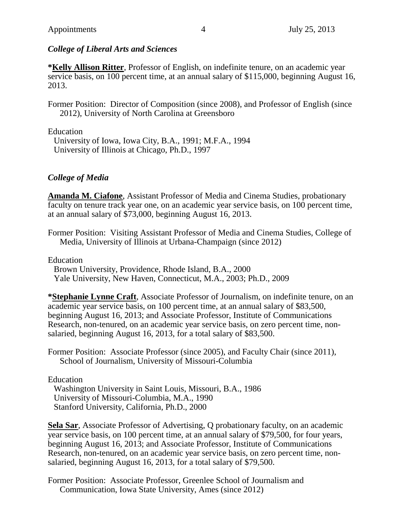### *College of Liberal Arts and Sciences*

**\*Kelly Allison Ritter**, Professor of English, on indefinite tenure, on an academic year service basis, on 100 percent time, at an annual salary of \$115,000, beginning August 16, 2013.

Former Position: Director of Composition (since 2008), and Professor of English (since 2012), University of North Carolina at Greensboro

Education

University of Iowa, Iowa City, B.A., 1991; M.F.A., 1994 University of Illinois at Chicago, Ph.D., 1997

## *College of Media*

**Amanda M. Ciafone**, Assistant Professor of Media and Cinema Studies, probationary faculty on tenure track year one, on an academic year service basis, on 100 percent time, at an annual salary of \$73,000, beginning August 16, 2013.

Former Position: Visiting Assistant Professor of Media and Cinema Studies, College of Media, University of Illinois at Urbana-Champaign (since 2012)

Education

Brown University, Providence, Rhode Island, B.A., 2000 Yale University, New Haven, Connecticut, M.A., 2003; Ph.D., 2009

**\*Stephanie Lynne Craft**, Associate Professor of Journalism, on indefinite tenure, on an academic year service basis, on 100 percent time, at an annual salary of \$83,500, beginning August 16, 2013; and Associate Professor, Institute of Communications Research, non-tenured, on an academic year service basis, on zero percent time, nonsalaried, beginning August 16, 2013, for a total salary of \$83,500.

Former Position: Associate Professor (since 2005), and Faculty Chair (since 2011), School of Journalism, University of Missouri-Columbia

Education

Washington University in Saint Louis, Missouri, B.A., 1986 University of Missouri-Columbia, M.A., 1990 Stanford University, California, Ph.D., 2000

**Sela Sar**, Associate Professor of Advertising, Q probationary faculty, on an academic year service basis, on 100 percent time, at an annual salary of \$79,500, for four years, beginning August 16, 2013; and Associate Professor, Institute of Communications Research, non-tenured, on an academic year service basis, on zero percent time, nonsalaried, beginning August 16, 2013, for a total salary of \$79,500.

Former Position: Associate Professor, Greenlee School of Journalism and Communication, Iowa State University, Ames (since 2012)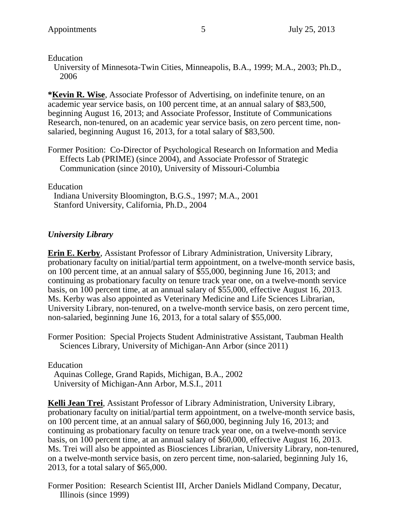#### Education

University of Minnesota-Twin Cities, Minneapolis, B.A., 1999; M.A., 2003; Ph.D., 2006

**\*Kevin R. Wise**, Associate Professor of Advertising, on indefinite tenure, on an academic year service basis, on 100 percent time, at an annual salary of \$83,500, beginning August 16, 2013; and Associate Professor, Institute of Communications Research, non-tenured, on an academic year service basis, on zero percent time, nonsalaried, beginning August 16, 2013, for a total salary of \$83,500.

Former Position: Co-Director of Psychological Research on Information and Media Effects Lab (PRIME) (since 2004), and Associate Professor of Strategic Communication (since 2010), University of Missouri-Columbia

#### Education

Indiana University Bloomington, B.G.S., 1997; M.A., 2001 Stanford University, California, Ph.D., 2004

### *University Library*

**Erin E. Kerby**, Assistant Professor of Library Administration, University Library, probationary faculty on initial/partial term appointment, on a twelve-month service basis, on 100 percent time, at an annual salary of \$55,000, beginning June 16, 2013; and continuing as probationary faculty on tenure track year one, on a twelve-month service basis, on 100 percent time, at an annual salary of \$55,000, effective August 16, 2013. Ms. Kerby was also appointed as Veterinary Medicine and Life Sciences Librarian, University Library, non-tenured, on a twelve-month service basis, on zero percent time, non-salaried, beginning June 16, 2013, for a total salary of \$55,000.

Former Position: Special Projects Student Administrative Assistant, Taubman Health Sciences Library, University of Michigan-Ann Arbor (since 2011)

#### Education

Aquinas College, Grand Rapids, Michigan, B.A., 2002 University of Michigan-Ann Arbor, M.S.I., 2011

**Kelli Jean Trei**, Assistant Professor of Library Administration, University Library, probationary faculty on initial/partial term appointment, on a twelve-month service basis, on 100 percent time, at an annual salary of \$60,000, beginning July 16, 2013; and continuing as probationary faculty on tenure track year one, on a twelve-month service basis, on 100 percent time, at an annual salary of \$60,000, effective August 16, 2013. Ms. Trei will also be appointed as Biosciences Librarian, University Library, non-tenured, on a twelve-month service basis, on zero percent time, non-salaried, beginning July 16, 2013, for a total salary of \$65,000.

Former Position: Research Scientist III, Archer Daniels Midland Company, Decatur, Illinois (since 1999)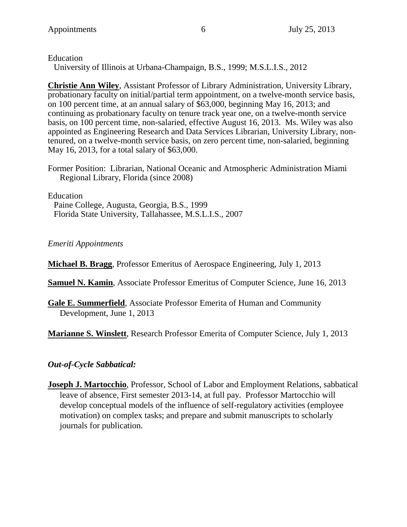Education

University of Illinois at Urbana-Champaign, B.S., 1999; M.S.L.I.S., 2012

**Christie Ann Wiley**, Assistant Professor of Library Administration, University Library, probationary faculty on initial/partial term appointment, on a twelve-month service basis, on 100 percent time, at an annual salary of \$63,000, beginning May 16, 2013; and continuing as probationary faculty on tenure track year one, on a twelve-month service basis, on 100 percent time, non-salaried, effective August 16, 2013. Ms. Wiley was also appointed as Engineering Research and Data Services Librarian, University Library, nontenured, on a twelve-month service basis, on zero percent time, non-salaried, beginning May 16, 2013, for a total salary of \$63,000.

Former Position: Librarian, National Oceanic and Atmospheric Administration Miami Regional Library, Florida (since 2008)

Education

Paine College, Augusta, Georgia, B.S., 1999 Florida State University, Tallahassee, M.S.L.I.S., 2007

*Emeriti Appointments*

**Michael B. Bragg**, Professor Emeritus of Aerospace Engineering, July 1, 2013

**Samuel N. Kamin**, Associate Professor Emeritus of Computer Science, June 16, 2013

**Gale E. Summerfield**, Associate Professor Emerita of Human and Community Development, June 1, 2013

**Marianne S. Winslett**, Research Professor Emerita of Computer Science, July 1, 2013

## *Out-of-Cycle Sabbatical:*

**Joseph J. Martocchio**, Professor, School of Labor and Employment Relations, sabbatical leave of absence, First semester 2013-14, at full pay. Professor Martocchio will develop conceptual models of the influence of self-regulatory activities (employee motivation) on complex tasks; and prepare and submit manuscripts to scholarly journals for publication.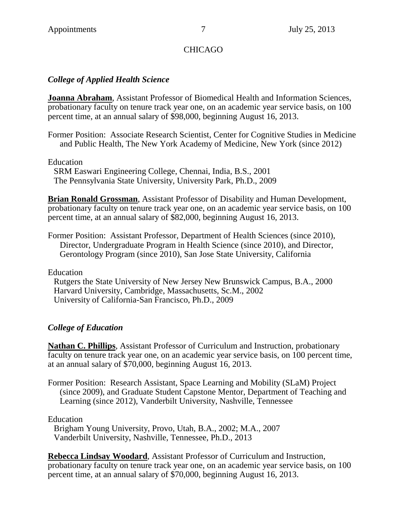### CHICAGO

## *College of Applied Health Science*

**Joanna Abraham**, Assistant Professor of Biomedical Health and Information Sciences, probationary faculty on tenure track year one, on an academic year service basis, on 100 percent time, at an annual salary of \$98,000, beginning August 16, 2013.

Former Position: Associate Research Scientist, Center for Cognitive Studies in Medicine and Public Health, The New York Academy of Medicine, New York (since 2012)

Education

SRM Easwari Engineering College, Chennai, India, B.S., 2001 The Pennsylvania State University, University Park, Ph.D., 2009

**Brian Ronald Grossman**, Assistant Professor of Disability and Human Development, probationary faculty on tenure track year one, on an academic year service basis, on 100 percent time, at an annual salary of \$82,000, beginning August 16, 2013.

Former Position: Assistant Professor, Department of Health Sciences (since 2010), Director, Undergraduate Program in Health Science (since 2010), and Director, Gerontology Program (since 2010), San Jose State University, California

Education

Rutgers the State University of New Jersey New Brunswick Campus, B.A., 2000 Harvard University, Cambridge, Massachusetts, Sc.M., 2002 University of California-San Francisco, Ph.D., 2009

## *College of Education*

**Nathan C. Phillips**, Assistant Professor of Curriculum and Instruction, probationary faculty on tenure track year one, on an academic year service basis, on 100 percent time, at an annual salary of \$70,000, beginning August 16, 2013.

Former Position: Research Assistant, Space Learning and Mobility (SLaM) Project (since 2009), and Graduate Student Capstone Mentor, Department of Teaching and Learning (since 2012), Vanderbilt University, Nashville, Tennessee

Education

Brigham Young University, Provo, Utah, B.A., 2002; M.A., 2007 Vanderbilt University, Nashville, Tennessee, Ph.D., 2013

**Rebecca Lindsay Woodard**, Assistant Professor of Curriculum and Instruction, probationary faculty on tenure track year one, on an academic year service basis, on 100 percent time, at an annual salary of \$70,000, beginning August 16, 2013.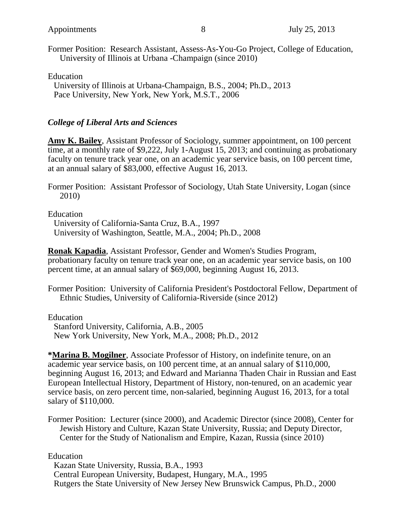Former Position: Research Assistant, Assess-As-You-Go Project, College of Education, University of Illinois at Urbana -Champaign (since 2010)

Education

University of Illinois at Urbana-Champaign, B.S., 2004; Ph.D., 2013 Pace University, New York, New York, M.S.T., 2006

#### *College of Liberal Arts and Sciences*

**Amy K. Bailey**, Assistant Professor of Sociology, summer appointment, on 100 percent time, at a monthly rate of \$9,222, July 1-August 15, 2013; and continuing as probationary faculty on tenure track year one, on an academic year service basis, on 100 percent time, at an annual salary of \$83,000, effective August 16, 2013.

Former Position: Assistant Professor of Sociology, Utah State University, Logan (since 2010)

Education

University of California-Santa Cruz, B.A., 1997 University of Washington, Seattle, M.A., 2004; Ph.D., 2008

**Ronak Kapadia**, Assistant Professor, Gender and Women's Studies Program, probationary faculty on tenure track year one, on an academic year service basis, on 100 percent time, at an annual salary of \$69,000, beginning August 16, 2013.

Former Position: University of California President's Postdoctoral Fellow, Department of Ethnic Studies, University of California-Riverside (since 2012)

Education

Stanford University, California, A.B., 2005 New York University, New York, M.A., 2008; Ph.D., 2012

**\*Marina B. Mogilner**, Associate Professor of History, on indefinite tenure, on an academic year service basis, on 100 percent time, at an annual salary of \$110,000, beginning August 16, 2013; and Edward and Marianna Thaden Chair in Russian and East European Intellectual History, Department of History, non-tenured, on an academic year service basis, on zero percent time, non-salaried, beginning August 16, 2013, for a total salary of \$110,000.

Former Position: Lecturer (since 2000), and Academic Director (since 2008), Center for Jewish History and Culture, Kazan State University, Russia; and Deputy Director, Center for the Study of Nationalism and Empire, Kazan, Russia (since 2010)

Education

Kazan State University, Russia, B.A., 1993 Central European University, Budapest, Hungary, M.A., 1995 Rutgers the State University of New Jersey New Brunswick Campus, Ph.D., 2000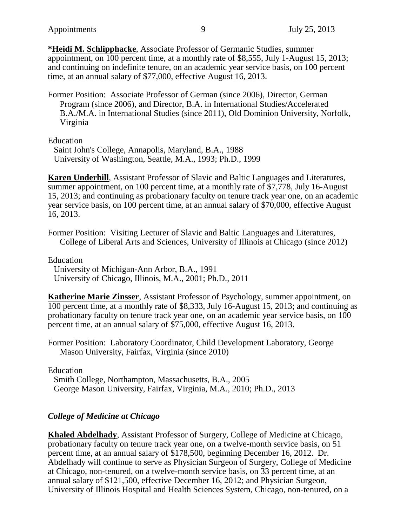**\*Heidi M. Schlipphacke**, Associate Professor of Germanic Studies, summer appointment, on 100 percent time, at a monthly rate of \$8,555, July 1-August 15, 2013; and continuing on indefinite tenure, on an academic year service basis, on 100 percent time, at an annual salary of \$77,000, effective August 16, 2013.

Former Position: Associate Professor of German (since 2006), Director, German Program (since 2006), and Director, B.A. in International Studies/Accelerated B.A./M.A. in International Studies (since 2011), Old Dominion University, Norfolk, Virginia

Education

Saint John's College, Annapolis, Maryland, B.A., 1988 University of Washington, Seattle, M.A., 1993; Ph.D., 1999

**Karen Underhill**, Assistant Professor of Slavic and Baltic Languages and Literatures, summer appointment, on 100 percent time, at a monthly rate of \$7,778, July 16-August 15, 2013; and continuing as probationary faculty on tenure track year one, on an academic year service basis, on 100 percent time, at an annual salary of \$70,000, effective August 16, 2013.

Former Position: Visiting Lecturer of Slavic and Baltic Languages and Literatures, College of Liberal Arts and Sciences, University of Illinois at Chicago (since 2012)

Education University of Michigan-Ann Arbor, B.A., 1991 University of Chicago, Illinois, M.A., 2001; Ph.D., 2011

**Katherine Marie Zinsser**, Assistant Professor of Psychology, summer appointment, on 100 percent time, at a monthly rate of \$8,333, July 16-August 15, 2013; and continuing as probationary faculty on tenure track year one, on an academic year service basis, on 100 percent time, at an annual salary of \$75,000, effective August 16, 2013.

Former Position: Laboratory Coordinator, Child Development Laboratory, George Mason University, Fairfax, Virginia (since 2010)

Education

Smith College, Northampton, Massachusetts, B.A., 2005 George Mason University, Fairfax, Virginia, M.A., 2010; Ph.D., 2013

## *College of Medicine at Chicago*

**Khaled Abdelhady**, Assistant Professor of Surgery, College of Medicine at Chicago, probationary faculty on tenure track year one, on a twelve-month service basis, on 51 percent time, at an annual salary of \$178,500, beginning December 16, 2012. Dr. Abdelhady will continue to serve as Physician Surgeon of Surgery, College of Medicine at Chicago, non-tenured, on a twelve-month service basis, on 33 percent time, at an annual salary of \$121,500, effective December 16, 2012; and Physician Surgeon, University of Illinois Hospital and Health Sciences System, Chicago, non-tenured, on a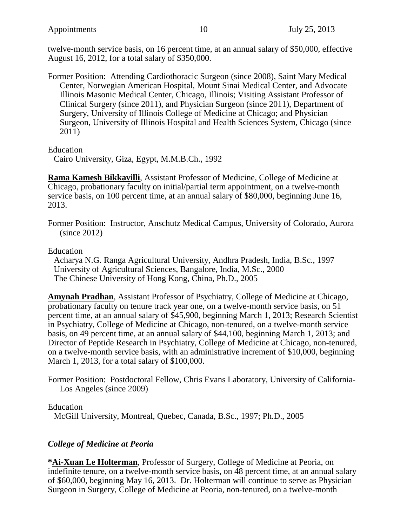twelve-month service basis, on 16 percent time, at an annual salary of \$50,000, effective August 16, 2012, for a total salary of \$350,000.

Former Position: Attending Cardiothoracic Surgeon (since 2008), Saint Mary Medical Center, Norwegian American Hospital, Mount Sinai Medical Center, and Advocate Illinois Masonic Medical Center, Chicago, Illinois; Visiting Assistant Professor of Clinical Surgery (since 2011), and Physician Surgeon (since 2011), Department of Surgery, University of Illinois College of Medicine at Chicago; and Physician Surgeon, University of Illinois Hospital and Health Sciences System, Chicago (since 2011)

Education

Cairo University, Giza, Egypt, M.M.B.Ch., 1992

**Rama Kamesh Bikkavilli**, Assistant Professor of Medicine, College of Medicine at Chicago, probationary faculty on initial/partial term appointment, on a twelve-month service basis, on 100 percent time, at an annual salary of \$80,000, beginning June 16, 2013.

Former Position: Instructor, Anschutz Medical Campus, University of Colorado, Aurora (since 2012)

Education

Acharya N.G. Ranga Agricultural University, Andhra Pradesh, India, B.Sc., 1997 University of Agricultural Sciences, Bangalore, India, M.Sc., 2000 The Chinese University of Hong Kong, China, Ph.D., 2005

**Amynah Pradhan**, Assistant Professor of Psychiatry, College of Medicine at Chicago, probationary faculty on tenure track year one, on a twelve-month service basis, on 51 percent time, at an annual salary of \$45,900, beginning March 1, 2013; Research Scientist in Psychiatry, College of Medicine at Chicago, non-tenured, on a twelve-month service basis, on 49 percent time, at an annual salary of \$44,100, beginning March 1, 2013; and Director of Peptide Research in Psychiatry, College of Medicine at Chicago, non-tenured, on a twelve-month service basis, with an administrative increment of \$10,000, beginning March 1, 2013, for a total salary of \$100,000.

Former Position: Postdoctoral Fellow, Chris Evans Laboratory, University of California-Los Angeles (since 2009)

Education

McGill University, Montreal, Quebec, Canada, B.Sc., 1997; Ph.D., 2005

### *College of Medicine at Peoria*

**\*Ai-Xuan Le Holterman**, Professor of Surgery, College of Medicine at Peoria, on indefinite tenure, on a twelve-month service basis, on 48 percent time, at an annual salary of \$60,000, beginning May 16, 2013. Dr. Holterman will continue to serve as Physician Surgeon in Surgery, College of Medicine at Peoria, non-tenured, on a twelve-month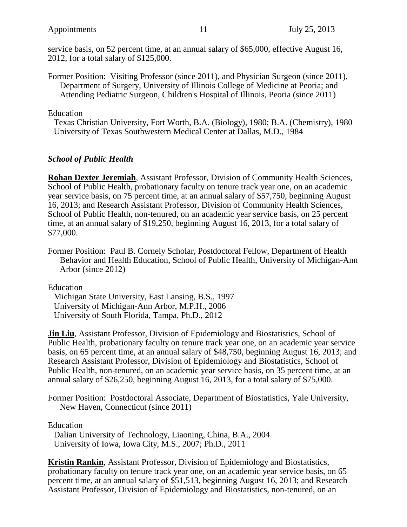service basis, on 52 percent time, at an annual salary of \$65,000, effective August 16, 2012, for a total salary of \$125,000.

Former Position: Visiting Professor (since 2011), and Physician Surgeon (since 2011), Department of Surgery, University of Illinois College of Medicine at Peoria; and Attending Pediatric Surgeon, Children's Hospital of Illinois, Peoria (since 2011)

Education

Texas Christian University, Fort Worth, B.A. (Biology), 1980; B.A. (Chemistry), 1980 University of Texas Southwestern Medical Center at Dallas, M.D., 1984

#### *School of Public Health*

**Rohan Dexter Jeremiah**, Assistant Professor, Division of Community Health Sciences, School of Public Health, probationary faculty on tenure track year one, on an academic year service basis, on 75 percent time, at an annual salary of \$57,750, beginning August 16, 2013; and Research Assistant Professor, Division of Community Health Sciences, School of Public Health, non-tenured, on an academic year service basis, on 25 percent time, at an annual salary of \$19,250, beginning August 16, 2013, for a total salary of \$77,000.

Former Position: Paul B. Cornely Scholar, Postdoctoral Fellow, Department of Health Behavior and Health Education, School of Public Health, University of Michigan-Ann Arbor (since 2012)

Education

Michigan State University, East Lansing, B.S., 1997 University of Michigan-Ann Arbor, M.P.H., 2006 University of South Florida, Tampa, Ph.D., 2012

**Jin Liu**, Assistant Professor, Division of Epidemiology and Biostatistics, School of Public Health, probationary faculty on tenure track year one, on an academic year service basis, on 65 percent time, at an annual salary of \$48,750, beginning August 16, 2013; and Research Assistant Professor, Division of Epidemiology and Biostatistics, School of Public Health, non-tenured, on an academic year service basis, on 35 percent time, at an annual salary of \$26,250, beginning August 16, 2013, for a total salary of \$75,000.

Former Position: Postdoctoral Associate, Department of Biostatistics, Yale University, New Haven, Connecticut (since 2011)

Education

Dalian University of Technology, Liaoning, China, B.A., 2004 University of Iowa, Iowa City, M.S., 2007; Ph.D., 2011

**Kristin Rankin**, Assistant Professor, Division of Epidemiology and Biostatistics, probationary faculty on tenure track year one, on an academic year service basis, on 65 percent time, at an annual salary of \$51,513, beginning August 16, 2013; and Research Assistant Professor, Division of Epidemiology and Biostatistics, non-tenured, on an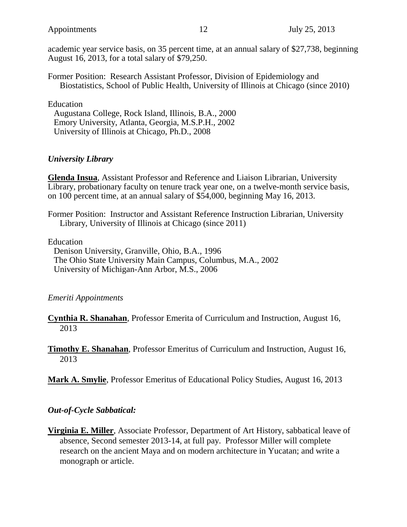academic year service basis, on 35 percent time, at an annual salary of \$27,738, beginning August 16, 2013, for a total salary of \$79,250.

Former Position: Research Assistant Professor, Division of Epidemiology and Biostatistics, School of Public Health, University of Illinois at Chicago (since 2010)

#### Education

Augustana College, Rock Island, Illinois, B.A., 2000 Emory University, Atlanta, Georgia, M.S.P.H., 2002 University of Illinois at Chicago, Ph.D., 2008

#### *University Library*

**Glenda Insua**, Assistant Professor and Reference and Liaison Librarian, University Library, probationary faculty on tenure track year one, on a twelve-month service basis, on 100 percent time, at an annual salary of \$54,000, beginning May 16, 2013.

Former Position: Instructor and Assistant Reference Instruction Librarian, University Library, University of Illinois at Chicago (since 2011)

Education

Denison University, Granville, Ohio, B.A., 1996 The Ohio State University Main Campus, Columbus, M.A., 2002 University of Michigan-Ann Arbor, M.S., 2006

#### *Emeriti Appointments*

**Cynthia R. Shanahan**, Professor Emerita of Curriculum and Instruction, August 16, 2013

**Timothy E. Shanahan**, Professor Emeritus of Curriculum and Instruction, August 16, 2013

**Mark A. Smylie**, Professor Emeritus of Educational Policy Studies, August 16, 2013

### *Out-of-Cycle Sabbatical:*

**Virginia E. Miller**, Associate Professor, Department of Art History, sabbatical leave of absence, Second semester 2013-14, at full pay. Professor Miller will complete research on the ancient Maya and on modern architecture in Yucatan; and write a monograph or article.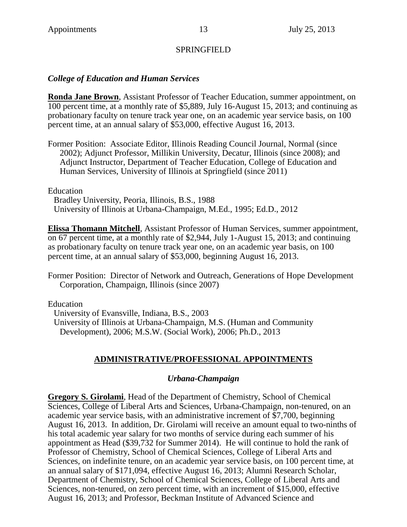#### SPRINGFIELD

#### *College of Education and Human Services*

**Ronda Jane Brown**, Assistant Professor of Teacher Education, summer appointment, on 100 percent time, at a monthly rate of \$5,889, July 16-August 15, 2013; and continuing as probationary faculty on tenure track year one, on an academic year service basis, on 100 percent time, at an annual salary of \$53,000, effective August 16, 2013.

Former Position: Associate Editor, Illinois Reading Council Journal, Normal (since 2002); Adjunct Professor, Millikin University, Decatur, Illinois (since 2008); and Adjunct Instructor, Department of Teacher Education, College of Education and Human Services, University of Illinois at Springfield (since 2011)

Education

Bradley University, Peoria, Illinois, B.S., 1988 University of Illinois at Urbana-Champaign, M.Ed., 1995; Ed.D., 2012

**Elissa Thomann Mitchell**, Assistant Professor of Human Services, summer appointment, on 67 percent time, at a monthly rate of \$2,944, July 1-August 15, 2013; and continuing as probationary faculty on tenure track year one, on an academic year basis, on 100 percent time, at an annual salary of \$53,000, beginning August 16, 2013.

Former Position: Director of Network and Outreach, Generations of Hope Development Corporation, Champaign, Illinois (since 2007)

Education

University of Evansville, Indiana, B.S., 2003 University of Illinois at Urbana-Champaign, M.S. (Human and Community Development), 2006; M.S.W. (Social Work), 2006; Ph.D., 2013

### **ADMINISTRATIVE/PROFESSIONAL APPOINTMENTS**

#### *Urbana-Champaign*

**Gregory S. Girolami**, Head of the Department of Chemistry, School of Chemical Sciences, College of Liberal Arts and Sciences, Urbana-Champaign, non-tenured, on an academic year service basis, with an administrative increment of \$7,700, beginning August 16, 2013. In addition, Dr. Girolami will receive an amount equal to two-ninths of his total academic year salary for two months of service during each summer of his appointment as Head (\$39,732 for Summer 2014). He will continue to hold the rank of Professor of Chemistry, School of Chemical Sciences, College of Liberal Arts and Sciences, on indefinite tenure, on an academic year service basis, on 100 percent time, at an annual salary of \$171,094, effective August 16, 2013; Alumni Research Scholar, Department of Chemistry, School of Chemical Sciences, College of Liberal Arts and Sciences, non-tenured, on zero percent time, with an increment of \$15,000, effective August 16, 2013; and Professor, Beckman Institute of Advanced Science and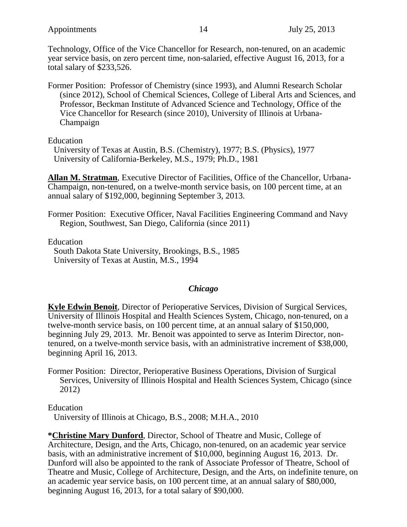Technology, Office of the Vice Chancellor for Research, non-tenured, on an academic year service basis, on zero percent time, non-salaried, effective August 16, 2013, for a total salary of \$233,526.

Former Position: Professor of Chemistry (since 1993), and Alumni Research Scholar (since 2012), School of Chemical Sciences, College of Liberal Arts and Sciences, and Professor, Beckman Institute of Advanced Science and Technology, Office of the Vice Chancellor for Research (since 2010), University of Illinois at Urbana-Champaign

Education

University of Texas at Austin, B.S. (Chemistry), 1977; B.S. (Physics), 1977 University of California-Berkeley, M.S., 1979; Ph.D., 1981

**Allan M. Stratman**, Executive Director of Facilities, Office of the Chancellor, Urbana-Champaign, non-tenured, on a twelve-month service basis, on 100 percent time, at an annual salary of \$192,000, beginning September 3, 2013.

Former Position: Executive Officer, Naval Facilities Engineering Command and Navy Region, Southwest, San Diego, California (since 2011)

Education

South Dakota State University, Brookings, B.S., 1985 University of Texas at Austin, M.S., 1994

#### *Chicago*

**Kyle Edwin Benoit**, Director of Perioperative Services, Division of Surgical Services, University of Illinois Hospital and Health Sciences System, Chicago, non-tenured, on a twelve-month service basis, on 100 percent time, at an annual salary of \$150,000, beginning July 29, 2013. Mr. Benoit was appointed to serve as Interim Director, nontenured, on a twelve-month service basis, with an administrative increment of \$38,000, beginning April 16, 2013.

Former Position: Director, Perioperative Business Operations, Division of Surgical Services, University of Illinois Hospital and Health Sciences System, Chicago (since 2012)

Education

University of Illinois at Chicago, B.S., 2008; M.H.A., 2010

**\*Christine Mary Dunford**, Director, School of Theatre and Music, College of Architecture, Design, and the Arts, Chicago, non-tenured, on an academic year service basis, with an administrative increment of \$10,000, beginning August 16, 2013. Dr. Dunford will also be appointed to the rank of Associate Professor of Theatre, School of Theatre and Music, College of Architecture, Design, and the Arts, on indefinite tenure, on an academic year service basis, on 100 percent time, at an annual salary of \$80,000, beginning August 16, 2013, for a total salary of \$90,000.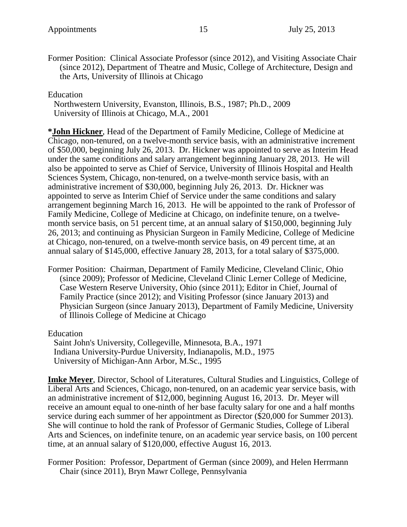Former Position: Clinical Associate Professor (since 2012), and Visiting Associate Chair (since 2012), Department of Theatre and Music, College of Architecture, Design and the Arts, University of Illinois at Chicago

Education

Northwestern University, Evanston, Illinois, B.S., 1987; Ph.D., 2009 University of Illinois at Chicago, M.A., 2001

**\*John Hickner**, Head of the Department of Family Medicine, College of Medicine at Chicago, non-tenured, on a twelve-month service basis, with an administrative increment of \$50,000, beginning July 26, 2013. Dr. Hickner was appointed to serve as Interim Head under the same conditions and salary arrangement beginning January 28, 2013. He will also be appointed to serve as Chief of Service, University of Illinois Hospital and Health Sciences System, Chicago, non-tenured, on a twelve-month service basis, with an administrative increment of \$30,000, beginning July 26, 2013. Dr. Hickner was appointed to serve as Interim Chief of Service under the same conditions and salary arrangement beginning March 16, 2013. He will be appointed to the rank of Professor of Family Medicine, College of Medicine at Chicago, on indefinite tenure, on a twelvemonth service basis, on 51 percent time, at an annual salary of \$150,000, beginning July 26, 2013; and continuing as Physician Surgeon in Family Medicine, College of Medicine at Chicago, non-tenured, on a twelve-month service basis, on 49 percent time, at an annual salary of \$145,000, effective January 28, 2013, for a total salary of \$375,000.

Former Position: Chairman, Department of Family Medicine, Cleveland Clinic, Ohio (since 2009); Professor of Medicine, Cleveland Clinic Lerner College of Medicine, Case Western Reserve University, Ohio (since 2011); Editor in Chief, Journal of Family Practice (since 2012); and Visiting Professor (since January 2013) and Physician Surgeon (since January 2013), Department of Family Medicine, University of Illinois College of Medicine at Chicago

Education

Saint John's University, Collegeville, Minnesota, B.A., 1971 Indiana University-Purdue University, Indianapolis, M.D., 1975 University of Michigan-Ann Arbor, M.Sc., 1995

**Imke Meyer**, Director, School of Literatures, Cultural Studies and Linguistics, College of Liberal Arts and Sciences, Chicago, non-tenured, on an academic year service basis, with an administrative increment of \$12,000, beginning August 16, 2013. Dr. Meyer will receive an amount equal to one-ninth of her base faculty salary for one and a half months service during each summer of her appointment as Director (\$20,000 for Summer 2013). She will continue to hold the rank of Professor of Germanic Studies, College of Liberal Arts and Sciences, on indefinite tenure, on an academic year service basis, on 100 percent time, at an annual salary of \$120,000, effective August 16, 2013.

Former Position: Professor, Department of German (since 2009), and Helen Herrmann Chair (since 2011), Bryn Mawr College, Pennsylvania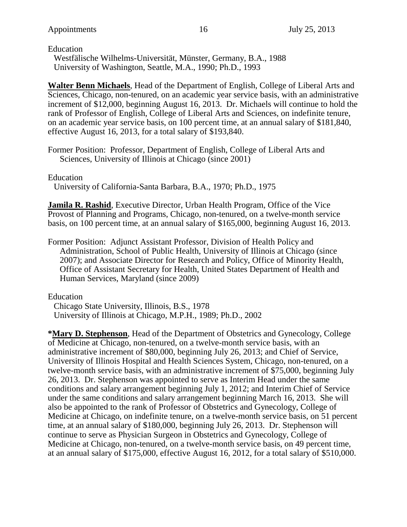Education

Westfälische Wilhelms-Universität, Münster, Germany, B.A., 1988 University of Washington, Seattle, M.A., 1990; Ph.D., 1993

**Walter Benn Michaels**, Head of the Department of English, College of Liberal Arts and Sciences, Chicago, non-tenured, on an academic year service basis, with an administrative increment of \$12,000, beginning August 16, 2013. Dr. Michaels will continue to hold the rank of Professor of English, College of Liberal Arts and Sciences, on indefinite tenure, on an academic year service basis, on 100 percent time, at an annual salary of \$181,840, effective August 16, 2013, for a total salary of \$193,840.

Former Position: Professor, Department of English, College of Liberal Arts and Sciences, University of Illinois at Chicago (since 2001)

Education

University of California-Santa Barbara, B.A., 1970; Ph.D., 1975

**Jamila R. Rashid**, Executive Director, Urban Health Program, Office of the Vice Provost of Planning and Programs, Chicago, non-tenured, on a twelve-month service basis, on 100 percent time, at an annual salary of \$165,000, beginning August 16, 2013.

Former Position: Adjunct Assistant Professor, Division of Health Policy and Administration, School of Public Health, University of Illinois at Chicago (since 2007); and Associate Director for Research and Policy, Office of Minority Health, Office of Assistant Secretary for Health, United States Department of Health and Human Services, Maryland (since 2009)

Education

Chicago State University, Illinois, B.S., 1978 University of Illinois at Chicago, M.P.H., 1989; Ph.D., 2002

**\*Mary D. Stephenson**, Head of the Department of Obstetrics and Gynecology, College of Medicine at Chicago, non-tenured, on a twelve-month service basis, with an administrative increment of \$80,000, beginning July 26, 2013; and Chief of Service, University of Illinois Hospital and Health Sciences System, Chicago, non-tenured, on a twelve-month service basis, with an administrative increment of \$75,000, beginning July 26, 2013. Dr. Stephenson was appointed to serve as Interim Head under the same conditions and salary arrangement beginning July 1, 2012; and Interim Chief of Service under the same conditions and salary arrangement beginning March 16, 2013. She will also be appointed to the rank of Professor of Obstetrics and Gynecology, College of Medicine at Chicago, on indefinite tenure, on a twelve-month service basis, on 51 percent time, at an annual salary of \$180,000, beginning July 26, 2013. Dr. Stephenson will continue to serve as Physician Surgeon in Obstetrics and Gynecology, College of Medicine at Chicago, non-tenured, on a twelve-month service basis, on 49 percent time, at an annual salary of \$175,000, effective August 16, 2012, for a total salary of \$510,000.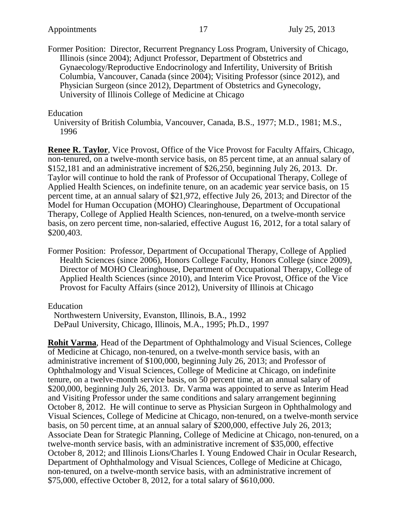Former Position: Director, Recurrent Pregnancy Loss Program, University of Chicago, Illinois (since 2004); Adjunct Professor, Department of Obstetrics and Gynaecology/Reproductive Endocrinology and Infertility, University of British Columbia, Vancouver, Canada (since 2004); Visiting Professor (since 2012), and Physician Surgeon (since 2012), Department of Obstetrics and Gynecology, University of Illinois College of Medicine at Chicago

#### Education

University of British Columbia, Vancouver, Canada, B.S., 1977; M.D., 1981; M.S., 1996

**Renee R. Taylor**, Vice Provost, Office of the Vice Provost for Faculty Affairs, Chicago, non-tenured, on a twelve-month service basis, on 85 percent time, at an annual salary of \$152,181 and an administrative increment of \$26,250, beginning July 26, 2013. Dr. Taylor will continue to hold the rank of Professor of Occupational Therapy, College of Applied Health Sciences, on indefinite tenure, on an academic year service basis, on 15 percent time, at an annual salary of \$21,972, effective July 26, 2013; and Director of the Model for Human Occupation (MOHO) Clearinghouse, Department of Occupational Therapy, College of Applied Health Sciences, non-tenured, on a twelve-month service basis, on zero percent time, non-salaried, effective August 16, 2012, for a total salary of \$200,403.

Former Position: Professor, Department of Occupational Therapy, College of Applied Health Sciences (since 2006), Honors College Faculty, Honors College (since 2009), Director of MOHO Clearinghouse, Department of Occupational Therapy, College of Applied Health Sciences (since 2010), and Interim Vice Provost, Office of the Vice Provost for Faculty Affairs (since 2012), University of Illinois at Chicago

Education

Northwestern University, Evanston, Illinois, B.A., 1992 DePaul University, Chicago, Illinois, M.A., 1995; Ph.D., 1997

**Rohit Varma**, Head of the Department of Ophthalmology and Visual Sciences, College of Medicine at Chicago, non-tenured, on a twelve-month service basis, with an administrative increment of \$100,000, beginning July 26, 2013; and Professor of Ophthalmology and Visual Sciences, College of Medicine at Chicago, on indefinite tenure, on a twelve-month service basis, on 50 percent time, at an annual salary of \$200,000, beginning July 26, 2013. Dr. Varma was appointed to serve as Interim Head and Visiting Professor under the same conditions and salary arrangement beginning October 8, 2012. He will continue to serve as Physician Surgeon in Ophthalmology and Visual Sciences, College of Medicine at Chicago, non-tenured, on a twelve-month service basis, on 50 percent time, at an annual salary of \$200,000, effective July 26, 2013; Associate Dean for Strategic Planning, College of Medicine at Chicago, non-tenured, on a twelve-month service basis, with an administrative increment of \$35,000, effective October 8, 2012; and Illinois Lions/Charles I. Young Endowed Chair in Ocular Research, Department of Ophthalmology and Visual Sciences, College of Medicine at Chicago, non-tenured, on a twelve-month service basis, with an administrative increment of \$75,000, effective October 8, 2012, for a total salary of \$610,000.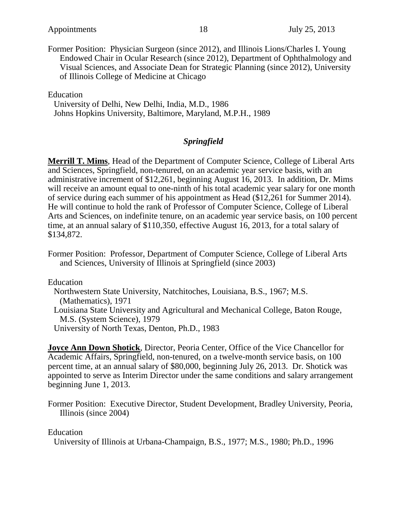Former Position: Physician Surgeon (since 2012), and Illinois Lions/Charles I. Young Endowed Chair in Ocular Research (since 2012), Department of Ophthalmology and Visual Sciences, and Associate Dean for Strategic Planning (since 2012), University of Illinois College of Medicine at Chicago

Education

University of Delhi, New Delhi, India, M.D., 1986 Johns Hopkins University, Baltimore, Maryland, M.P.H., 1989

#### *Springfield*

**Merrill T. Mims**, Head of the Department of Computer Science, College of Liberal Arts and Sciences, Springfield, non-tenured, on an academic year service basis, with an administrative increment of \$12,261, beginning August 16, 2013. In addition, Dr. Mims will receive an amount equal to one-ninth of his total academic year salary for one month of service during each summer of his appointment as Head (\$12,261 for Summer 2014). He will continue to hold the rank of Professor of Computer Science, College of Liberal Arts and Sciences, on indefinite tenure, on an academic year service basis, on 100 percent time, at an annual salary of \$110,350, effective August 16, 2013, for a total salary of \$134,872.

Former Position: Professor, Department of Computer Science, College of Liberal Arts and Sciences, University of Illinois at Springfield (since 2003)

Education

Northwestern State University, Natchitoches, Louisiana, B.S., 1967; M.S. (Mathematics), 1971 Louisiana State University and Agricultural and Mechanical College, Baton Rouge, M.S. (System Science), 1979

University of North Texas, Denton, Ph.D., 1983

**Joyce Ann Down Shotick**, Director, Peoria Center, Office of the Vice Chancellor for Academic Affairs, Springfield, non-tenured, on a twelve-month service basis, on 100 percent time, at an annual salary of \$80,000, beginning July 26, 2013. Dr. Shotick was appointed to serve as Interim Director under the same conditions and salary arrangement beginning June 1, 2013.

Former Position: Executive Director, Student Development, Bradley University, Peoria, Illinois (since 2004)

#### Education

University of Illinois at Urbana-Champaign, B.S., 1977; M.S., 1980; Ph.D., 1996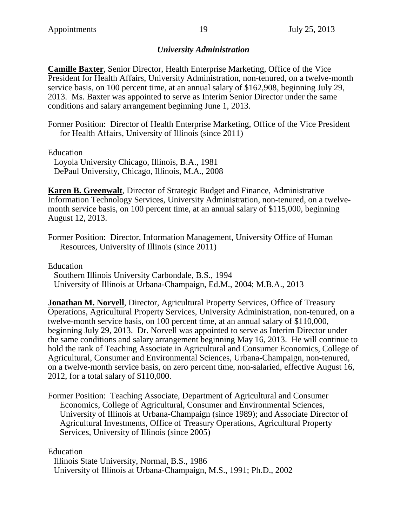### *University Administration*

**Camille Baxter**, Senior Director, Health Enterprise Marketing, Office of the Vice President for Health Affairs, University Administration, non-tenured, on a twelve-month service basis, on 100 percent time, at an annual salary of \$162,908, beginning July 29, 2013. Ms. Baxter was appointed to serve as Interim Senior Director under the same conditions and salary arrangement beginning June 1, 2013.

Former Position: Director of Health Enterprise Marketing, Office of the Vice President for Health Affairs, University of Illinois (since 2011)

Education

Loyola University Chicago, Illinois, B.A., 1981 DePaul University, Chicago, Illinois, M.A., 2008

**Karen B. Greenwalt**, Director of Strategic Budget and Finance, Administrative Information Technology Services, University Administration, non-tenured, on a twelvemonth service basis, on 100 percent time, at an annual salary of \$115,000, beginning August 12, 2013.

Former Position: Director, Information Management, University Office of Human Resources, University of Illinois (since 2011)

Education Southern Illinois University Carbondale, B.S., 1994 University of Illinois at Urbana-Champaign, Ed.M., 2004; M.B.A., 2013

**Jonathan M. Norvell**, Director, Agricultural Property Services, Office of Treasury Operations, Agricultural Property Services, University Administration, non-tenured, on a twelve-month service basis, on 100 percent time, at an annual salary of \$110,000, beginning July 29, 2013. Dr. Norvell was appointed to serve as Interim Director under the same conditions and salary arrangement beginning May 16, 2013. He will continue to hold the rank of Teaching Associate in Agricultural and Consumer Economics, College of Agricultural, Consumer and Environmental Sciences, Urbana-Champaign, non-tenured, on a twelve-month service basis, on zero percent time, non-salaried, effective August 16, 2012, for a total salary of \$110,000.

Former Position: Teaching Associate, Department of Agricultural and Consumer Economics, College of Agricultural, Consumer and Environmental Sciences, University of Illinois at Urbana-Champaign (since 1989); and Associate Director of Agricultural Investments, Office of Treasury Operations, Agricultural Property Services, University of Illinois (since 2005)

Education

Illinois State University, Normal, B.S., 1986 University of Illinois at Urbana-Champaign, M.S., 1991; Ph.D., 2002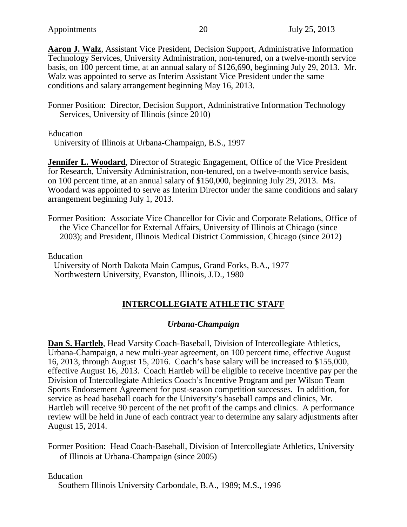**Aaron J. Walz**, Assistant Vice President, Decision Support, Administrative Information Technology Services, University Administration, non-tenured, on a twelve-month service basis, on 100 percent time, at an annual salary of \$126,690, beginning July 29, 2013. Mr. Walz was appointed to serve as Interim Assistant Vice President under the same conditions and salary arrangement beginning May 16, 2013.

Former Position: Director, Decision Support, Administrative Information Technology Services, University of Illinois (since 2010)

Education

University of Illinois at Urbana-Champaign, B.S., 1997

**Jennifer L. Woodard, Director of Strategic Engagement, Office of the Vice President** for Research, University Administration, non-tenured, on a twelve-month service basis, on 100 percent time, at an annual salary of \$150,000, beginning July 29, 2013. Ms. Woodard was appointed to serve as Interim Director under the same conditions and salary arrangement beginning July 1, 2013.

Former Position: Associate Vice Chancellor for Civic and Corporate Relations, Office of the Vice Chancellor for External Affairs, University of Illinois at Chicago (since 2003); and President, Illinois Medical District Commission, Chicago (since 2012)

Education University of North Dakota Main Campus, Grand Forks, B.A., 1977 Northwestern University, Evanston, Illinois, J.D., 1980

## **INTERCOLLEGIATE ATHLETIC STAFF**

### *Urbana-Champaign*

**Dan S. Hartleb**, Head Varsity Coach-Baseball, Division of Intercollegiate Athletics, Urbana-Champaign, a new multi-year agreement, on 100 percent time, effective August 16, 2013, through August 15, 2016. Coach's base salary will be increased to \$155,000, effective August 16, 2013. Coach Hartleb will be eligible to receive incentive pay per the Division of Intercollegiate Athletics Coach's Incentive Program and per Wilson Team Sports Endorsement Agreement for post-season competition successes. In addition, for service as head baseball coach for the University's baseball camps and clinics, Mr. Hartleb will receive 90 percent of the net profit of the camps and clinics. A performance review will be held in June of each contract year to determine any salary adjustments after August 15, 2014.

Former Position: Head Coach-Baseball, Division of Intercollegiate Athletics, University of Illinois at Urbana-Champaign (since 2005)

#### Education

Southern Illinois University Carbondale, B.A., 1989; M.S., 1996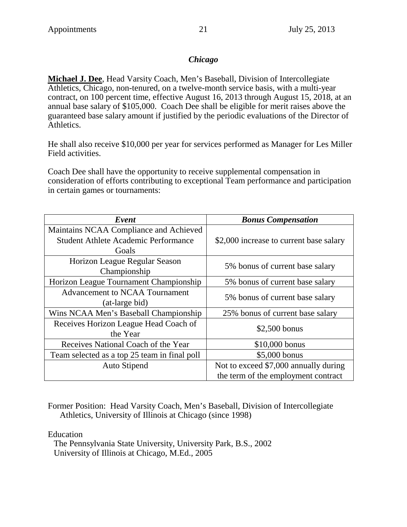### *Chicago*

**Michael J. Dee**, Head Varsity Coach, Men's Baseball, Division of Intercollegiate Athletics, Chicago, non-tenured, on a twelve-month service basis, with a multi-year contract, on 100 percent time, effective August 16, 2013 through August 15, 2018, at an annual base salary of \$105,000. Coach Dee shall be eligible for merit raises above the guaranteed base salary amount if justified by the periodic evaluations of the Director of Athletics.

He shall also receive \$10,000 per year for services performed as Manager for Les Miller Field activities.

Coach Dee shall have the opportunity to receive supplemental compensation in consideration of efforts contributing to exceptional Team performance and participation in certain games or tournaments:

| Event                                        | <b>Bonus Compensation</b>               |
|----------------------------------------------|-----------------------------------------|
| Maintains NCAA Compliance and Achieved       |                                         |
| <b>Student Athlete Academic Performance</b>  | \$2,000 increase to current base salary |
| Goals                                        |                                         |
| Horizon League Regular Season                | 5% bonus of current base salary         |
| Championship                                 |                                         |
| Horizon League Tournament Championship       | 5% bonus of current base salary         |
| <b>Advancement to NCAA Tournament</b>        | 5% bonus of current base salary         |
| (at-large bid)                               |                                         |
| Wins NCAA Men's Baseball Championship        | 25% bonus of current base salary        |
| Receives Horizon League Head Coach of        | $$2,500$ bonus                          |
| the Year                                     |                                         |
| Receives National Coach of the Year          | $$10,000$ bonus                         |
| Team selected as a top 25 team in final poll | \$5,000 bonus                           |
| <b>Auto Stipend</b>                          | Not to exceed \$7,000 annually during   |
|                                              | the term of the employment contract     |

Former Position: Head Varsity Coach, Men's Baseball, Division of Intercollegiate Athletics, University of Illinois at Chicago (since 1998)

Education

The Pennsylvania State University, University Park, B.S., 2002 University of Illinois at Chicago, M.Ed., 2005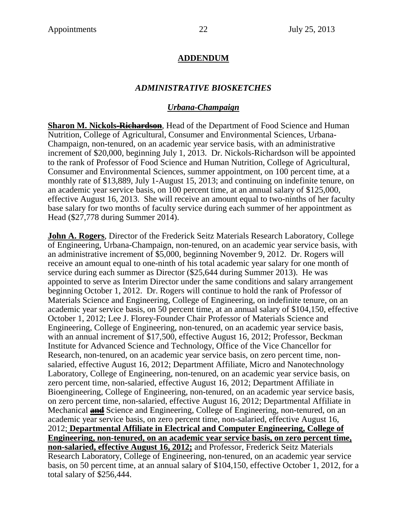### **ADDENDUM**

### *ADMINISTRATIVE BIOSKETCHES*

#### *Urbana-Champaign*

**Sharon M. Nickols-Richardson**, Head of the Department of Food Science and Human Nutrition, College of Agricultural, Consumer and Environmental Sciences, Urbana-Champaign, non-tenured, on an academic year service basis, with an administrative increment of \$20,000, beginning July 1, 2013. Dr. Nickols-Richardson will be appointed to the rank of Professor of Food Science and Human Nutrition, College of Agricultural, Consumer and Environmental Sciences, summer appointment, on 100 percent time, at a monthly rate of \$13,889, July 1-August 15, 2013; and continuing on indefinite tenure, on an academic year service basis, on 100 percent time, at an annual salary of \$125,000, effective August 16, 2013. She will receive an amount equal to two-ninths of her faculty base salary for two months of faculty service during each summer of her appointment as Head (\$27,778 during Summer 2014).

**John A. Rogers**, Director of the Frederick Seitz Materials Research Laboratory, College of Engineering, Urbana-Champaign, non-tenured, on an academic year service basis, with an administrative increment of \$5,000, beginning November 9, 2012. Dr. Rogers will receive an amount equal to one-ninth of his total academic year salary for one month of service during each summer as Director (\$25,644 during Summer 2013). He was appointed to serve as Interim Director under the same conditions and salary arrangement beginning October 1, 2012. Dr. Rogers will continue to hold the rank of Professor of Materials Science and Engineering, College of Engineering, on indefinite tenure, on an academic year service basis, on 50 percent time, at an annual salary of \$104,150, effective October 1, 2012; Lee J. Florey-Founder Chair Professor of Materials Science and Engineering, College of Engineering, non-tenured, on an academic year service basis, with an annual increment of \$17,500, effective August 16, 2012; Professor, Beckman Institute for Advanced Science and Technology, Office of the Vice Chancellor for Research, non-tenured, on an academic year service basis, on zero percent time, nonsalaried, effective August 16, 2012; Department Affiliate, Micro and Nanotechnology Laboratory, College of Engineering, non-tenured, on an academic year service basis, on zero percent time, non-salaried, effective August 16, 2012; Department Affiliate in Bioengineering, College of Engineering, non-tenured, on an academic year service basis, on zero percent time, non-salaried, effective August 16, 2012; Departmental Affiliate in Mechanical **and** Science and Engineering, College of Engineering, non-tenured, on an academic year service basis, on zero percent time, non-salaried, effective August 16, 2012; **Departmental Affiliate in Electrical and Computer Engineering, College of Engineering, non-tenured, on an academic year service basis, on zero percent time, non-salaried, effective August 16, 2012;** and Professor, Frederick Seitz Materials Research Laboratory, College of Engineering, non-tenured, on an academic year service basis, on 50 percent time, at an annual salary of \$104,150, effective October 1, 2012, for a total salary of \$256,444.